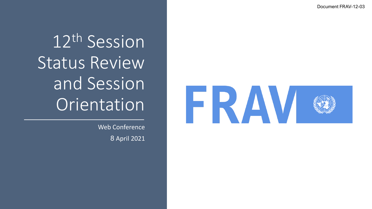Document FRAV -12 -03

12th Session Status Review and Session Orientation

> Web Conference 8 April 2021

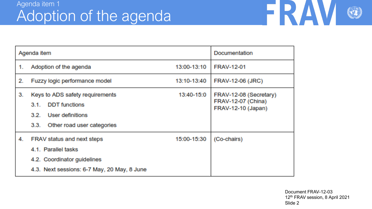

| Agenda item |                                                                                                                                 |             | Documentation                                                      |
|-------------|---------------------------------------------------------------------------------------------------------------------------------|-------------|--------------------------------------------------------------------|
| 1.          | Adoption of the agenda                                                                                                          | 13:00-13:10 | <b>FRAV-12-01</b>                                                  |
| 2.          | Fuzzy logic performance model                                                                                                   | 13:10-13:40 | <b>FRAV-12-06 (JRC)</b>                                            |
| 3.          | Keys to ADS safety requirements<br><b>DDT</b> functions<br>3.1.<br>3.2. User definitions<br>Other road user categories<br>3.3.  | 13:40-15:0  | FRAV-12-08 (Secretary)<br>FRAV-12-07 (China)<br>FRAV-12-10 (Japan) |
| 4.          | FRAV status and next steps<br>4.1. Parallel tasks<br>4.2. Coordinator guidelines<br>4.3. Next sessions: 6-7 May, 20 May, 8 June | 15:00-15:30 | (Co-chairs)                                                        |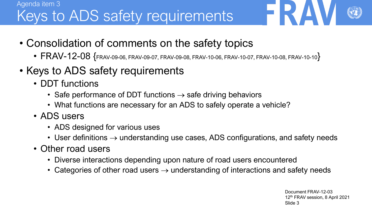# Agenda item 3 Keys to ADS safety requirements

- Consolidation of comments on the safety topics
	- $FRAV-12-08$   $\{$  FRAV-09-06, FRAV-09-07, FRAV-09-08, FRAV-10-06, FRAV-10-07, FRAV-10-08, FRAV-10-10 $\}$
- Keys to ADS safety requirements
	- DDT functions
		- Safe performance of DDT functions  $\rightarrow$  safe driving behaviors
		- What functions are necessary for an ADS to safely operate a vehicle?
	- ADS users
		- ADS designed for various uses
		- User definitions  $\rightarrow$  understanding use cases, ADS configurations, and safety needs
	- Other road users
		- Diverse interactions depending upon nature of road users encountered
		- Categories of other road users  $\rightarrow$  understanding of interactions and safety needs

Document FRAV-12-03 12th FRAV session, 8 April 2021 Slide 3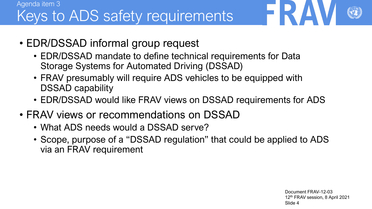# Agenda item 3 Keys to ADS safety requirements

- EDR/DSSAD informal group request
	- EDR/DSSAD mandate to define technical requirements for Data Storage Systems for Automated Driving (DSSAD)
	- FRAV presumably will require ADS vehicles to be equipped with DSSAD capability
	- EDR/DSSAD would like FRAV views on DSSAD requirements for ADS
- FRAV views or recommendations on DSSAD
	- What ADS needs would a DSSAD serve?
	- Scope, purpose of a "DSSAD regulation" that could be applied to ADS via an FRAV requirement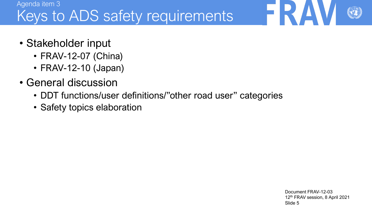# Agenda item 3 Keys to ADS safety requirements

- Stakeholder input
	- FRAV-12-07 (China)
	- FRAV-12-10 (Japan)
- General discussion
	- DDT functions/user definitions/"other road user" categories
	- Safety topics elaboration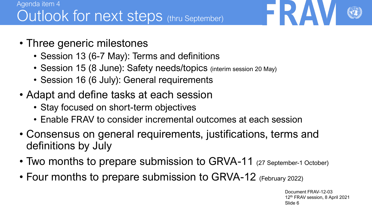- Three generic milestones
	- Session 13 (6-7 May): Terms and definitions
	- Session 15 (8 June): Safety needs/topics (interim session 20 May)
	- Session 16 (6 July): General requirements
- Adapt and define tasks at each session
	- Stay focused on short-term objectives
	- Enable FRAV to consider incremental outcomes at each session
- Consensus on general requirements, justifications, terms and definitions by July
- Two months to prepare submission to GRVA-11 (27 September-1 October)
- Four months to prepare submission to GRVA-12 (February 2022)

Document FRAV-12-03 12th FRAV session, 8 April 2021 Slide 6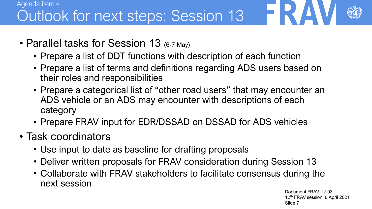# Agenda item 4 Outlook for next steps: Session 13

- Parallel tasks for Session 13 (6-7 May)
	- Prepare a list of DDT functions with description of each function
	- Prepare a list of terms and definitions regarding ADS users based on their roles and responsibilities
	- Prepare a categorical list of "other road users" that may encounter an ADS vehicle or an ADS may encounter with descriptions of each category
	- Prepare FRAV input for EDR/DSSAD on DSSAD for ADS vehicles
- Task coordinators
	- Use input to date as baseline for drafting proposals
	- Deliver written proposals for FRAV consideration during Session 13
	- Collaborate with FRAV stakeholders to facilitate consensus during the next session

Document FRAV-12-03 12th FRAV session, 8 April 2021 Slide 7